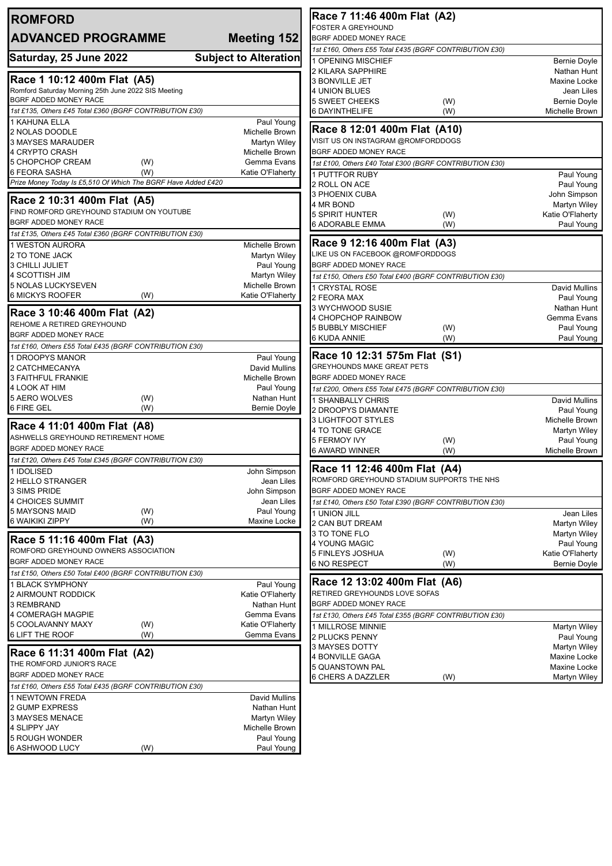| <b>ROMFORD</b>                                                                     |                                | Race 7 11:46 400m Flat (A2)                                 |            |                                   |
|------------------------------------------------------------------------------------|--------------------------------|-------------------------------------------------------------|------------|-----------------------------------|
| <b>ADVANCED PROGRAMME</b>                                                          | Meeting 152                    | <b>FOSTER A GREYHOUND</b><br><b>BGRF ADDED MONEY RACE</b>   |            |                                   |
|                                                                                    |                                | 1st £160, Others £55 Total £435 (BGRF CONTRIBUTION £30)     |            |                                   |
| Saturday, 25 June 2022                                                             | <b>Subject to Alteration</b>   | 1 OPENING MISCHIEF                                          |            | <b>Bernie Doyle</b>               |
|                                                                                    |                                | 2 KILARA SAPPHIRE                                           |            | Nathan Hunt                       |
| Race 1 10:12 400m Flat (A5)<br>Romford Saturday Morning 25th June 2022 SIS Meeting |                                | <b>3 BONVILLE JET</b>                                       |            | Maxine Locke                      |
| BGRF ADDED MONEY RACE                                                              |                                | <b>4 UNION BLUES</b><br><b>5 SWEET CHEEKS</b>               | (W)        | Jean Liles<br><b>Bernie Doyle</b> |
| 1st £135, Others £45 Total £360 (BGRF CONTRIBUTION £30)                            |                                | 6 DAYINTHELIFE                                              | (W)        | Michelle Brown                    |
| 1 KAHUNA ELLA                                                                      | Paul Young                     |                                                             |            |                                   |
| 2 NOLAS DOODLE                                                                     | Michelle Brown                 | Race 8 12:01 400m Flat (A10)                                |            |                                   |
| 3 MAYSES MARAUDER<br>4 CRYPTO CRASH                                                | Martyn Wiley<br>Michelle Brown | VISIT US ON INSTAGRAM @ROMFORDDOGS<br>BGRF ADDED MONEY RACE |            |                                   |
| 5 CHOPCHOP CREAM<br>(W)                                                            | Gemma Evans                    | 1st £100, Others £40 Total £300 (BGRF CONTRIBUTION £30)     |            |                                   |
| <b>6 FEORA SASHA</b><br>(W)                                                        | Katie O'Flaherty               | <b>1 PUTTFOR RUBY</b>                                       |            | Paul Young                        |
| Prize Money Today Is £5,510 Of Which The BGRF Have Added £420                      |                                | 2 ROLL ON ACE                                               |            | Paul Young                        |
| Race 2 10:31 400m Flat (A5)                                                        |                                | 3 PHOENIX CUBA                                              |            | John Simpson                      |
| FIND ROMFORD GREYHOUND STADIUM ON YOUTUBE                                          |                                | 4 MR BOND                                                   |            | <b>Martyn Wiley</b>               |
| BGRF ADDED MONEY RACE                                                              |                                | <b>5 SPIRIT HUNTER</b><br><b>6 ADORABLE EMMA</b>            | (W)<br>(W) | Katie O'Flaherty<br>Paul Young    |
| 1st £135, Others £45 Total £360 (BGRF CONTRIBUTION £30)                            |                                |                                                             |            |                                   |
| 1 WESTON AURORA                                                                    | Michelle Brown                 | Race 9 12:16 400m Flat (A3)                                 |            |                                   |
| 2 TO TONE JACK                                                                     | Martyn Wiley                   | LIKE US ON FACEBOOK @ROMFORDDOGS                            |            |                                   |
| <b>3 CHILLI JULIET</b>                                                             | Paul Young                     | BGRF ADDED MONEY RACE                                       |            |                                   |
| 4 SCOTTISH JIM<br>5 NOLAS LUCKYSEVEN                                               | Martyn Wiley<br>Michelle Brown | 1st £150, Others £50 Total £400 (BGRF CONTRIBUTION £30)     |            |                                   |
| 6 MICKYS ROOFER<br>(W)                                                             | Katie O'Flaherty               | <b>1 CRYSTAL ROSE</b><br>2 FEORA MAX                        |            | David Mullins<br>Paul Young       |
|                                                                                    |                                | 3 WYCHWOOD SUSIE                                            |            | Nathan Hunt                       |
| Race 3 10:46 400m Flat (A2)                                                        |                                | 4 CHOPCHOP RAINBOW                                          |            | Gemma Evans                       |
| REHOME A RETIRED GREYHOUND<br>BGRF ADDED MONEY RACE                                |                                | <b>5 BUBBLY MISCHIEF</b>                                    | (W)        | Paul Young                        |
| 1st £160, Others £55 Total £435 (BGRF CONTRIBUTION £30)                            |                                | 6 KUDA ANNIE                                                | (W)        | Paul Young                        |
| 1 DROOPYS MANOR                                                                    | Paul Young                     | Race 10 12:31 575m Flat (S1)                                |            |                                   |
| 2 CATCHMECANYA                                                                     | David Mullins                  | <b>GREYHOUNDS MAKE GREAT PETS</b>                           |            |                                   |
| <b>3 FAITHFUL FRANKIE</b>                                                          | Michelle Brown                 | BGRF ADDED MONEY RACE                                       |            |                                   |
| 4 LOOK AT HIM                                                                      | Paul Young                     | 1st £200, Others £55 Total £475 (BGRF CONTRIBUTION £30)     |            |                                   |
| 5 AERO WOLVES<br>(W)<br>6 FIRE GEL<br>(W)                                          | Nathan Hunt<br>Bernie Doyle    | 1 SHANBALLY CHRIS<br>2 DROOPYS DIAMANTE                     |            | David Mullins                     |
|                                                                                    |                                | 3 LIGHTFOOT STYLES                                          |            | Paul Young<br>Michelle Brown      |
| Race 4 11:01 400m Flat (A8)                                                        |                                | 4 TO TONE GRACE                                             |            | Martyn Wiley                      |
| ASHWELLS GREYHOUND RETIREMENT HOME                                                 |                                | <b>5 FERMOY IVY</b>                                         | (W)        | Paul Young                        |
| BGRF ADDED MONEY RACE<br>1st £120, Others £45 Total £345 (BGRF CONTRIBUTION £30)   |                                | <b>6 AWARD WINNER</b>                                       | (W)        | Michelle Brown                    |
| 1 IDOLISED                                                                         | John Simpson                   | Race 11 12:46 400m Flat (A4)                                |            |                                   |
| 2 HELLO STRANGER                                                                   | Jean Liles                     | ROMFORD GREYHOUND STADIUM SUPPORTS THE NHS                  |            |                                   |
| 3 SIMS PRIDE                                                                       | John Simpson                   | BGRF ADDED MONEY RACE                                       |            |                                   |
| 4 CHOICES SUMMIT                                                                   | Jean Liles                     | 1st £140, Others £50 Total £390 (BGRF CONTRIBUTION £30)     |            |                                   |
| 5 MAYSONS MAID<br>(W)<br>6 WAIKIKI ZIPPY<br>(W)                                    | Paul Young<br>Maxine Locke     | 1 UNION JILL<br>2 CAN BUT DREAM                             |            | Jean Liles                        |
|                                                                                    |                                | 3 TO TONE FLO                                               |            | Martyn Wiley<br>Martyn Wiley      |
| Race 5 11:16 400m Flat (A3)                                                        |                                | 4 YOUNG MAGIC                                               |            | Paul Young                        |
| ROMFORD GREYHOUND OWNERS ASSOCIATION                                               |                                | 5 FINLEYS JOSHUA                                            | (W)        | Katie O'Flaherty                  |
| <b>BGRF ADDED MONEY RACE</b>                                                       |                                | <b>6 NO RESPECT</b>                                         | (W)        | Bernie Doyle                      |
| 1st £150, Others £50 Total £400 (BGRF CONTRIBUTION £30)<br>1 BLACK SYMPHONY        | Paul Young                     | Race 12 13:02 400m Flat (A6)                                |            |                                   |
| 2 AIRMOUNT RODDICK                                                                 | Katie O'Flaherty               | RETIRED GREYHOUNDS LOVE SOFAS                               |            |                                   |
| 3 REMBRAND                                                                         | Nathan Hunt                    | BGRF ADDED MONEY RACE                                       |            |                                   |
| <b>4 COMERAGH MAGPIE</b>                                                           | Gemma Evans                    | 1st £130, Others £45 Total £355 (BGRF CONTRIBUTION £30)     |            |                                   |
| 5 COOLAVANNY MAXY<br>(W)                                                           | Katie O'Flaherty               | 1 MILLROSE MINNIE                                           |            | <b>Martyn Wiley</b>               |
| 6 LIFT THE ROOF<br>(W)                                                             | Gemma Evans                    | 2 PLUCKS PENNY                                              |            | Paul Young                        |
| Race 6 11:31 400m Flat (A2)                                                        |                                | 3 MAYSES DOTTY<br>4 BONVILLE GAGA                           |            | Martyn Wiley<br>Maxine Locke      |
| THE ROMFORD JUNIOR'S RACE                                                          |                                | 5 QUANSTOWN PAL                                             |            | Maxine Locke                      |
| BGRF ADDED MONEY RACE                                                              |                                | 6 CHERS A DAZZLER                                           | (W)        | Martyn Wiley                      |
| 1st £160, Others £55 Total £435 (BGRF CONTRIBUTION £30)                            |                                |                                                             |            |                                   |
| 1 NEWTOWN FREDA<br>2 GUMP EXPRESS                                                  | David Mullins<br>Nathan Hunt   |                                                             |            |                                   |
| 3 MAYSES MENACE                                                                    | <b>Martyn Wiley</b>            |                                                             |            |                                   |
| 4 SLIPPY JAY                                                                       | Michelle Brown                 |                                                             |            |                                   |
| <b>5 ROUGH WONDER</b>                                                              | Paul Young                     |                                                             |            |                                   |
| 6 ASHWOOD LUCY<br>(W)                                                              | Paul Young                     |                                                             |            |                                   |